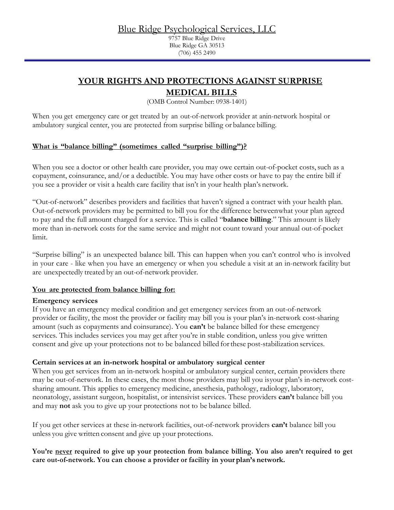## Blue Ridge Psychological Services, LLC

9757 Blue Ridge Drive Blue Ridge GA 30513 (706) 455 2490

# **YOUR RIGHTS AND PROTECTIONS AGAINST SURPRISE**

## **MEDICAL BILLS**

(OMB Control Number: 0938-1401)

When you get emergency care or get treated by an out-of-network provider at anin-network hospital or ambulatory surgical center, you are protected from surprise billing or balance billing.

### **What is "balance billing" (sometimes called "surprise billing")?**

When you see a doctor or other health care provider, you may owe certain out-of-pocket costs, such as a copayment, coinsurance, and/or a deductible. You may have other costs or have to pay the entire bill if you see a provider or visit a health care facility that isn't in your health plan's network.

"Out-of-network" describes providers and facilities that haven't signed a contract with your health plan. Out-of-network providers may be permitted to bill you for the difference betweenwhat your plan agreed to pay and the full amount charged for a service. This is called "**balance billing**." This amount is likely more than in-network costs for the same service and might not count toward your annual out-of-pocket limit.

"Surprise billing" is an unexpected balance bill. This can happen when you can't control who is involved in your care - like when you have an emergency or when you schedule a visit at an in-network facility but are unexpectedly treated by an out-of-network provider.

#### **You are protected from balance billing for:**

#### **Emergency services**

If you have an emergency medical condition and get emergency services from an out-of-network provider or facility, the most the provider or facility may bill you is your plan's in-network cost-sharing amount (such as copayments and coinsurance). You **can't** be balance billed for these emergency services. This includes services you may get after you're in stable condition, unless you give written consent and give up your protections not to be balanced billed forthese post-stabilization services.

#### **Certain services at an in-network hospital or ambulatory surgical center**

When you get services from an in-network hospital or ambulatory surgical center, certain providers there may be out-of-network. In these cases, the most those providers may bill you isyour plan's in-network costsharing amount. This applies to emergency medicine, anesthesia, pathology, radiology, laboratory, neonatology, assistant surgeon, hospitalist, or intensivist services. These providers **can't** balance bill you and may **not** ask you to give up your protections not to be balance billed.

If you get other services at these in-network facilities, out-of-network providers **can't** balance bill you unless you give written consent and give up your protections.

**You're never required to give up your protection from balance billing. You also aren't required to get care out-of-network. You can choose a provider or facility in your plan's network.**